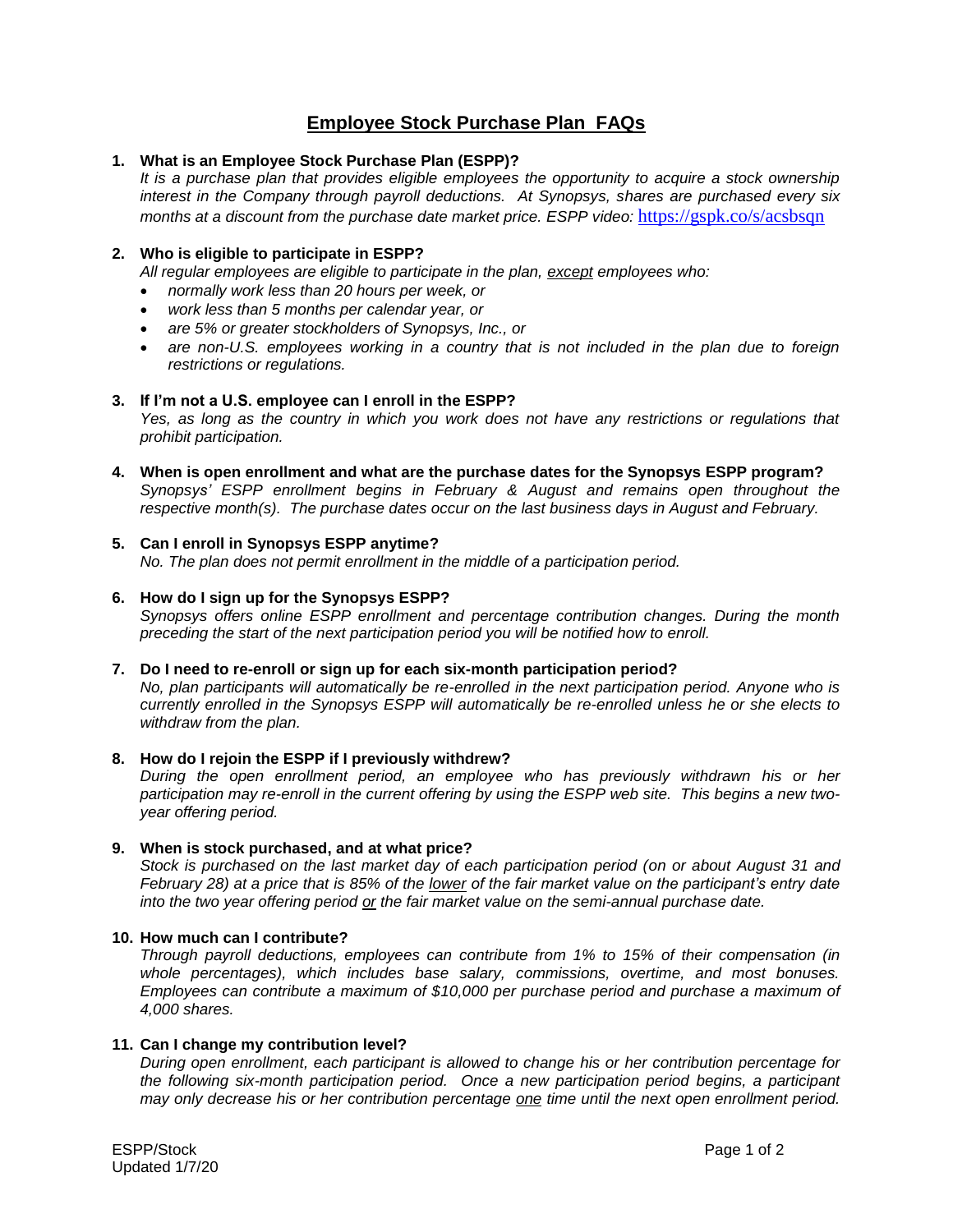# **Employee Stock Purchase Plan FAQs**

## **1. What is an Employee Stock Purchase Plan (ESPP)?**

*It is a purchase plan that provides eligible employees the opportunity to acquire a stock ownership interest in the Company through payroll deductions. At Synopsys, shares are purchased every six months at a discount from the purchase date market price. ESPP video:* [https://gspk.co/s/acsbsqn](https://urldefense.proofpoint.com/v2/url?u=https-3A__gspk.co_s_acsbsqn&d=DwMGaQ&c=DPL6_X_6JkXFx7AXWqB0tg&r=aEaeT_6siOUcjTqxhNWH5_mziGtaQh8HNW9bFGxcBYQ&m=LjY7rgTVU45LDA-b60bg9DUpUHMzA44_L_pU1IWC98w&s=m6KW1wmnVlLZTrXdbWQDwalyD8LT86Zff_1LQZohWMk&e=)

## **2. Who is eligible to participate in ESPP?**

*All regular employees are eligible to participate in the plan, except employees who:*

- *normally work less than 20 hours per week, or*
- *work less than 5 months per calendar year, or*
- *are 5% or greater stockholders of Synopsys, Inc., or*
- *are non-U.S. employees working in a country that is not included in the plan due to foreign restrictions or regulations.*

#### **3. If I'm not a U.S. employee can I enroll in the ESPP?**

*Yes, as long as the country in which you work does not have any restrictions or regulations that prohibit participation.*

**4. When is open enrollment and what are the purchase dates for the Synopsys ESPP program?** *Synopsys' ESPP enrollment begins in February & August and remains open throughout the respective month(s). The purchase dates occur on the last business days in August and February.* 

#### **5. Can I enroll in Synopsys ESPP anytime?**

*No. The plan does not permit enrollment in the middle of a participation period.*

## **6. How do I sign up for the Synopsys ESPP?**

*Synopsys offers online ESPP enrollment and percentage contribution changes. During the month preceding the start of the next participation period you will be notified how to enroll.*

#### **7. Do I need to re-enroll or sign up for each six-month participation period?**

*No, plan participants will automatically be re-enrolled in the next participation period. Anyone who is currently enrolled in the Synopsys ESPP will automatically be re-enrolled unless he or she elects to withdraw from the plan.*

#### **8. How do I rejoin the ESPP if I previously withdrew?**

*During the open enrollment period, an employee who has previously withdrawn his or her participation may re-enroll in the current offering by using the ESPP web site. This begins a new twoyear offering period.*

#### **9. When is stock purchased, and at what price?**

*Stock is purchased on the last market day of each participation period (on or about August 31 and February 28) at a price that is 85% of the lower of the fair market value on the participant's entry date into the two year offering period or the fair market value on the semi-annual purchase date.*

#### **10. How much can I contribute?**

*Through payroll deductions, employees can contribute from 1% to 15% of their compensation (in whole percentages), which includes base salary, commissions, overtime, and most bonuses. Employees can contribute a maximum of \$10,000 per purchase period and purchase a maximum of 4,000 shares.*

#### **11. Can I change my contribution level?**

*During open enrollment, each participant is allowed to change his or her contribution percentage for the following six-month participation period. Once a new participation period begins, a participant may only decrease his or her contribution percentage one time until the next open enrollment period.*